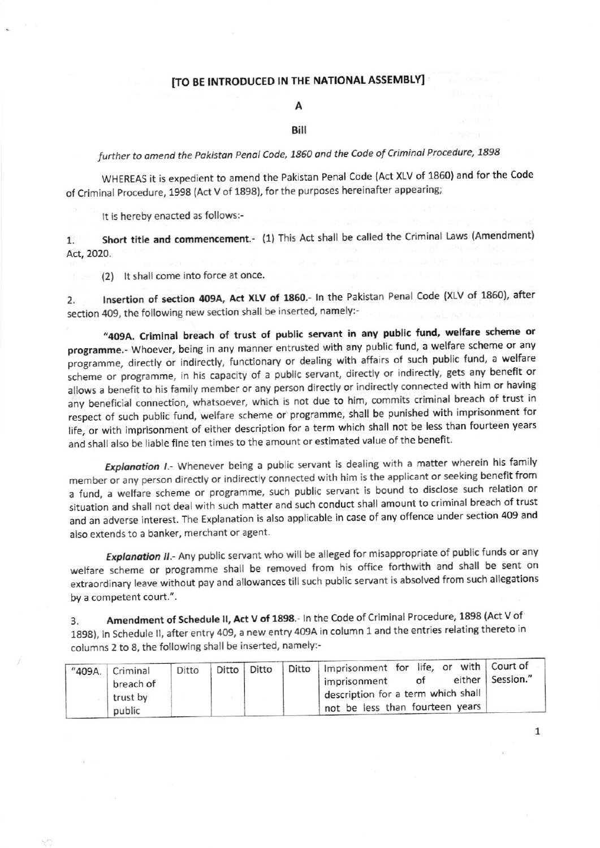## [TO BE INTRODUCED IN THE NATIONAL ASSEMBLY]

# А

#### Bill

further to amend the Pakistan Penal Code, 1860 and the Code of Criminal Procedure, 1898

WHEREAS it is expedient to amend the Pakistan Penal Code (Act XLV of 1860) and for the Code of Criminal Procedure, 1998 (Act V of 1898), for the purposes hereinafter appearing;

It is hereby enacted as follows:-

Short title and commencement.- (1) This Act shall be called the Criminal Laws (Amendment)  $1.$ Act, 2020.

(2) It shall come into force at once.

Insertion of section 409A, Act XLV of 1860.- In the Pakistan Penal Code (XLV of 1860), after  $2.$ section 409, the following new section shall be inserted, namely:-

"409A. Criminal breach of trust of public servant in any public fund, welfare scheme or programme.- Whoever, being in any manner entrusted with any public fund, a welfare scheme or any programme, directly or indirectly, functionary or dealing with affairs of such public fund, a welfare scheme or programme, in his capacity of a public servant, directly or indirectly, gets any benefit or allows a benefit to his family member or any person directly or indirectly connected with him or having any beneficial connection, whatsoever, which is not due to him, commits criminal breach of trust in respect of such public fund, welfare scheme or programme, shall be punished with imprisonment for life, or with imprisonment of either description for a term which shall not be less than fourteen years and shall also be liable fine ten times to the amount or estimated value of the benefit.

Explanation I.- Whenever being a public servant is dealing with a matter wherein his family member or any person directly or indirectly connected with him is the applicant or seeking benefit from a fund, a welfare scheme or programme, such public servant is bound to disclose such relation or situation and shall not deal with such matter and such conduct shall amount to criminal breach of trust and an adverse interest. The Explanation is also applicable in case of any offence under section 409 and also extends to a banker, merchant or agent.

Explanation II .- Any public servant who will be alleged for misappropriate of public funds or any welfare scheme or programme shall be removed from his office forthwith and shall be sent on extraordinary leave without pay and allowances till such public servant is absolved from such allegations by a competent court.".

Amendment of Schedule II, Act V of 1898.- In the Code of Criminal Procedure, 1898 (Act V of 3. 1898), in Schedule II, after entry 409, a new entry 409A in column 1 and the entries relating thereto in columns 2 to 8, the following shall be inserted, namely:-

| "409A. | Criminal<br>breach of<br>trust by<br>public | Ditto |  | Ditto   Ditto |  | Ditto   Imprisonment for life, or with   Court of<br>either   Session."<br>of<br>imprisonment |
|--------|---------------------------------------------|-------|--|---------------|--|-----------------------------------------------------------------------------------------------|
|        |                                             |       |  |               |  | description for a term which shall<br>not be less than fourteen years                         |

 $\mathbf{1}$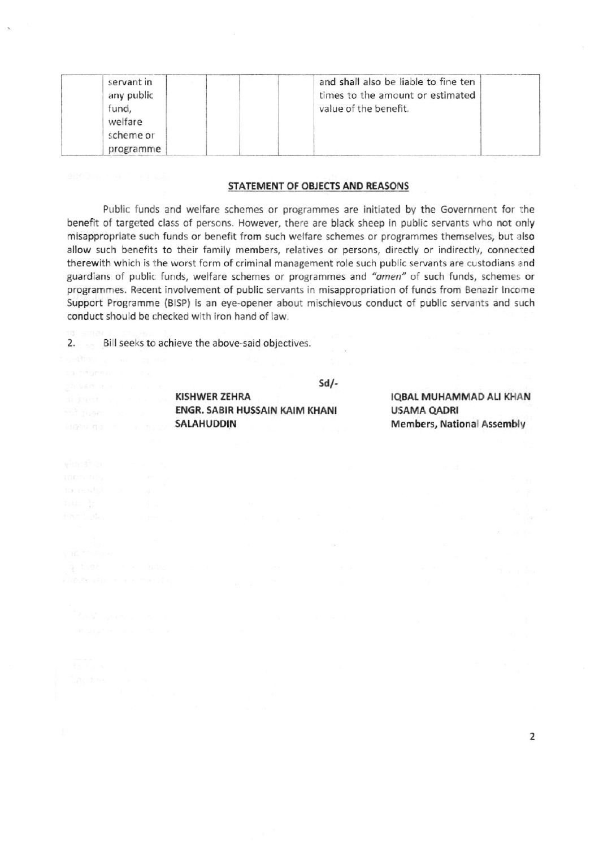| servant in<br>any public | and shall also be liable to fine ten<br>times to the amount or estimated |
|--------------------------|--------------------------------------------------------------------------|
| fund,                    | value of the benefit.                                                    |
| welfare<br>scheme or     |                                                                          |
| programme                |                                                                          |

### STATEMENT OF OBJECTS AND REASONS

Public funds and welfare schemes or programmes are initiated by the Government for the benefit of targeted class of persons. However, there are black sheep in public servants who not only misappropriate such funds or benefit from such welfare schemes or programmes themselves, but also allow such benefits to their family members, relatives or persons, directly or indirectly, connected therewith which is the worst form of criminal management role such public servants are custodians and guardians of public funds, welfare schemes or programmes and "amen" of such funds, schemes or programmes. Recent involvement of public servants in misappropriation of funds from Benazir Income Support Programme (BISP) is an eye-opener about mischievous conduct of public servants and such conduct should be checked with iron hand of law.

2. Bill seeks to achieve the above-said objectives.

nu. Is

 $Sd/-$ 

**KISHWER ZEHRA** ENGR. SABIR HUSSAIN KAIM KHANI SALAHUDDIN

**IQBAL MUHAMMAD ALI KHAN USAMA QADRI Members, National Assembly**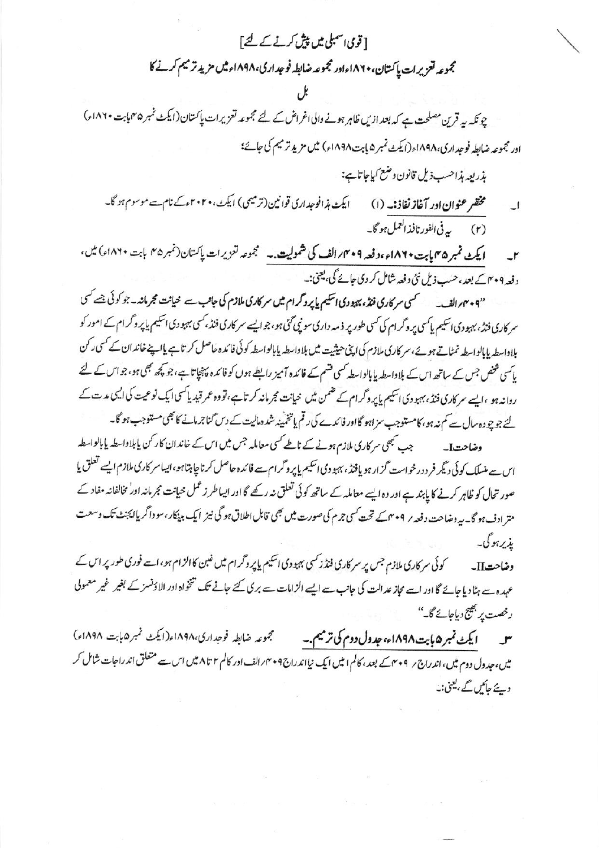# [قومی اسمبلی میں پیش کرنے کے لئے] مجموعه تعزيرات پاکتان، ۱۸۶۰ءاور مجموعه ضابطه فوجداری،۱۸۹۸ء میں مزید ترمیم کرنے کا

چونکہ یہ قرین مصلحت ہے کہ بعد ازیں ظاہر ہونے والی اغراض کے لئے مجموعہ تعزیرات پاکستان(ایکٹ نمبر ۴۵ہابت ۱۸۶۰ء) اور مجموعہ ضابطہ فوجداری،۱۸۹۸ء(ایکٹ نمبر ۵ پابت ۱۸۹۸ء) میں مزید ترمیم کی جائے؛

بذريعه بذاحسب ذيل قانون وضع كياجاتائ

ایکٹ ہذافوجداری قوانین(ترمیمی) ایکٹ،۲۰۲۰ءکے نام سے موسوم ہو گا۔ مختفر عنوان ادر آغاز نفاذ:۔ (۱) ا۔ (۲) په في الفور نافذ العمل ہو گا۔

ایکٹ نمبر ۳۵ ماہت ۱۸۶۰ء رفعہ ۴۰۶؍ الف کی شمولیت ۔ گجموعہ تعزیرات پاکستان(نمبر ۴۵ بابت ۱۸۶۰ء) میں،  $-1$ د فعہ ۴۰۹ کے بعد، حسب ذیل نئی د فعہ شامل کر دی جائے گی، یعنی:۔

"۰۴۰۴/الف۔ سمسکسی سرکاری فنڈ، بہبودی اسکیم پاپروگرام میں سرکاری ملازم کی جانب سے حیانت مجرمانہ۔جو کوئی جسے کسی سر کاری فنڈ، بہبودی اسکیم پاکسی پر وگرام کی کسی طور پر ذمہ داری سونپی گئی ہو، جو ایسے سر کاری فنڈ، کسی بہبو دی اسکیم پاپر وگرام کے امور کو بلاواسطہ پابالواسطہ نمٹاتے ہوئے،سر کاری ملازم کی اپنی حیثیت میں بلاواسطہ پابالواسطہ کوئی فائدہ حاصل کر تاہے پااپنے خاندان کے کسی رکن یاسی شخص جس کے ساتھ اس کے بلاواسطہ پابالواسطہ کسی قسم کے فائدہ آمیز رابطے ہوں کو فائدہ پہنچاتا ہے، جو کچھ بھی ہو، جو اس کے لئے روانہ ہو ،ایسے سر کاری فنڈ، بہبو دی اسکیم پاپر وگرام کے قنمن میں خیانت مجرمانہ کرتا ہے،تووہ عمر قید پاکسی ایک نوعیت کی ایسی مدت کے لئے جو چودہ سال سے کم نہ ہو، کامستوجب سزاہو گااور فائدے کی رقم یاتخمینہ شدہ مالیت کے دس گناجرمانے کا بھی مستوجب ہو گا۔

**وضاحتI۔** جب تبھی سر کاری ملازم ہونے کے ناطے *کس*ی معاملہ جس میں اس کے خاند ان کار کن پابلاوا۔ طہ پابالوا۔ طہ اس سے منسلک کوئی دیگر فر د درخواست گزار ہو یافتڈ، بہبو دی اسکیم پاپر وگرام سے فائدہ حاصل کرناچاہتاہو،ایساسر کاری ملازم ایسے تعلق یا صور تحال کو ظاہر کرنے کا پابند ہے اور وہ ایسے معاملہ کے ساتھ کوئی تعلق نہ رکھے گا اور ایساطر زعمل حیانت مجرمانہ اور مخالفانہ مفاد کے متر ادف ہو گا۔ بیروضاحت دفعہ ر ۴۰۹ کے تحت کسی جرم کی صورت میں بھی قابل اطلاق ہو گی نیز ایک بینکار، سو داگر یاایجنٹ تک وسعت يذير ہو گی۔

کوئی سر کاری ملازم جس پر سر کاری فنڈ زکسی بہبودی اسکیم پاپر وگرام میں غین کاالزام ہو، اسے فوری طور پر اس کے وضاحتII۔ عہدہ سے ہٹا دیا جائے گا اور اسے مجاز عدالت کی جانب سے ایسے الزامات سے بری کئے جانے تک تنخواہ اور الاؤنسز کے بغیر غیر معمولی رخصت پر بھیج دیاجائے گا۔''

مجموعه ضابطه فوجدارى،١٨٩٨ه(ايكث نمبر١٩٤٥م) ایکٹ نمبر ۵ بابت ۱۸۹۸ء، جدول دوم کی ترمیم.۔  $\mathsf{r}$ میں،جدول دوم میں،اندراج ؍ ۲۰۹سے بعد، کالم ا میں ایک نیااندراج ۲۰۹۸ الف اور کالم ۲ تا ۸ میں اس سے متعلق اندراجات شامل کر دیئے جائیں گے ، یعنی:۔